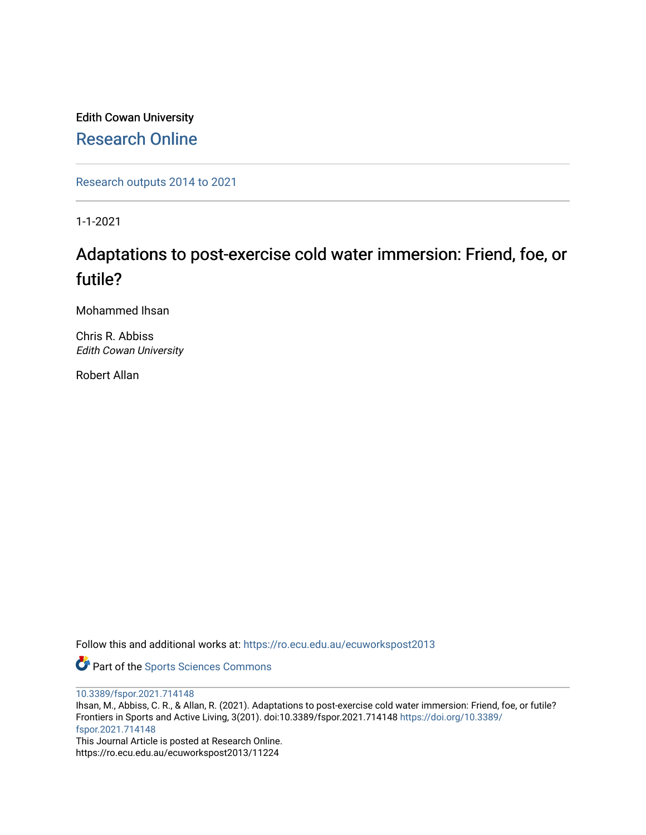Edith Cowan University [Research Online](https://ro.ecu.edu.au/) 

[Research outputs 2014 to 2021](https://ro.ecu.edu.au/ecuworkspost2013) 

1-1-2021

## Adaptations to post-exercise cold water immersion: Friend, foe, or futile?

Mohammed Ihsan

Chris R. Abbiss Edith Cowan University

Robert Allan

Follow this and additional works at: [https://ro.ecu.edu.au/ecuworkspost2013](https://ro.ecu.edu.au/ecuworkspost2013?utm_source=ro.ecu.edu.au%2Fecuworkspost2013%2F11224&utm_medium=PDF&utm_campaign=PDFCoverPages) 

Part of the [Sports Sciences Commons](http://network.bepress.com/hgg/discipline/759?utm_source=ro.ecu.edu.au%2Fecuworkspost2013%2F11224&utm_medium=PDF&utm_campaign=PDFCoverPages) 

[10.3389/fspor.2021.714148](http://dx.doi.org/10.3389/fspor.2021.714148)

Ihsan, M., Abbiss, C. R., & Allan, R. (2021). Adaptations to post-exercise cold water immersion: Friend, foe, or futile? Frontiers in Sports and Active Living, 3(201). doi:10.3389/fspor.2021.714148 [https://doi.org/10.3389/](https://doi.org/10.3389/fspor.2021.714148) [fspor.2021.714148](https://doi.org/10.3389/fspor.2021.714148) 

This Journal Article is posted at Research Online. https://ro.ecu.edu.au/ecuworkspost2013/11224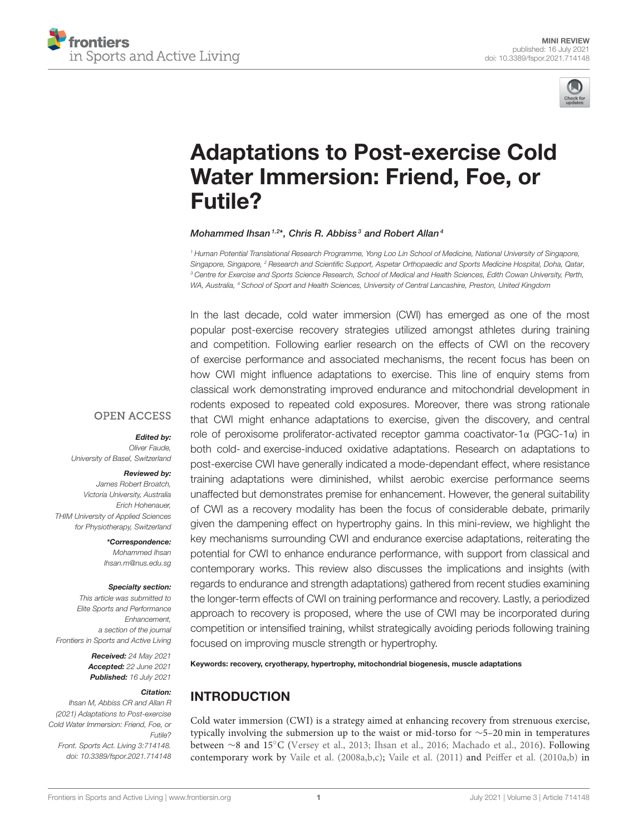



# [Adaptations to Post-exercise Cold](https://www.frontiersin.org/articles/10.3389/fspor.2021.714148/full) Water Immersion: Friend, Foe, or Futile?

#### Mohammed Ihsan<sup>1,2\*</sup>, Chris R. Abbiss<sup>3</sup> and Robert Allan<sup>4</sup>

*<sup>1</sup> Human Potential Translational Research Programme, Yong Loo Lin School of Medicine, National University of Singapore, Singapore, Singapore, <sup>2</sup> Research and Scientific Support, Aspetar Orthopaedic and Sports Medicine Hospital, Doha, Qatar, <sup>3</sup> Centre for Exercise and Sports Science Research, School of Medical and Health Sciences, Edith Cowan University, Perth, WA, Australia, <sup>4</sup> School of Sport and Health Sciences, University of Central Lancashire, Preston, United Kingdom*

In the last decade, cold water immersion (CWI) has emerged as one of the most popular post-exercise recovery strategies utilized amongst athletes during training and competition. Following earlier research on the effects of CWI on the recovery of exercise performance and associated mechanisms, the recent focus has been on how CWI might influence adaptations to exercise. This line of enquiry stems from classical work demonstrating improved endurance and mitochondrial development in rodents exposed to repeated cold exposures. Moreover, there was strong rationale that CWI might enhance adaptations to exercise, given the discovery, and central role of peroxisome proliferator-activated receptor gamma coactivator-1α (PGC-1α) in both cold- and exercise-induced oxidative adaptations. Research on adaptations to post-exercise CWI have generally indicated a mode-dependant effect, where resistance training adaptations were diminished, whilst aerobic exercise performance seems unaffected but demonstrates premise for enhancement. However, the general suitability of CWI as a recovery modality has been the focus of considerable debate, primarily given the dampening effect on hypertrophy gains. In this mini-review, we highlight the key mechanisms surrounding CWI and endurance exercise adaptations, reiterating the potential for CWI to enhance endurance performance, with support from classical and contemporary works. This review also discusses the implications and insights (with regards to endurance and strength adaptations) gathered from recent studies examining the longer-term effects of CWI on training performance and recovery. Lastly, a periodized approach to recovery is proposed, where the use of CWI may be incorporated during competition or intensified training, whilst strategically avoiding periods following training focused on improving muscle strength or hypertrophy.

Keywords: recovery, cryotherapy, hypertrophy, mitochondrial biogenesis, muscle adaptations

## INTRODUCTION

Cold water immersion (CWI) is a strategy aimed at enhancing recovery from strenuous exercise, typically involving the submersion up to the waist or mid-torso for ∼5–20 min in temperatures between ∼8 and 15◦C [\(Versey et al., 2013;](#page-8-0) [Ihsan et al., 2016;](#page-6-0) [Machado et al., 2016\)](#page-6-1). Following contemporary work by [Vaile et al. \(2008a,](#page-8-1)[b,](#page-8-2)[c\)](#page-8-3); [Vaile et al. \(2011\)](#page-8-4) and [Peiffer et al. \(2010a](#page-7-0)[,b\)](#page-7-1) in

## **OPEN ACCESS**

#### Edited by:

*Oliver Faude, University of Basel, Switzerland*

#### Reviewed by:

*James Robert Broatch, Victoria University, Australia Erich Hohenauer, THIM University of Applied Sciences for Physiotherapy, Switzerland*

> \*Correspondence: *Mohammed Ihsan [Ihsan.m@nus.edu.sg](mailto:Ihsan.m@nus.edu.sg)*

#### Specialty section:

*This article was submitted to Elite Sports and Performance Enhancement, a section of the journal Frontiers in Sports and Active Living*

> Received: *24 May 2021* Accepted: *22 June 2021* Published: *16 July 2021*

#### Citation:

*Ihsan M, Abbiss CR and Allan R (2021) Adaptations to Post-exercise Cold Water Immersion: Friend, Foe, or Futile? Front. Sports Act. Living 3:714148. doi: [10.3389/fspor.2021.714148](https://doi.org/10.3389/fspor.2021.714148)*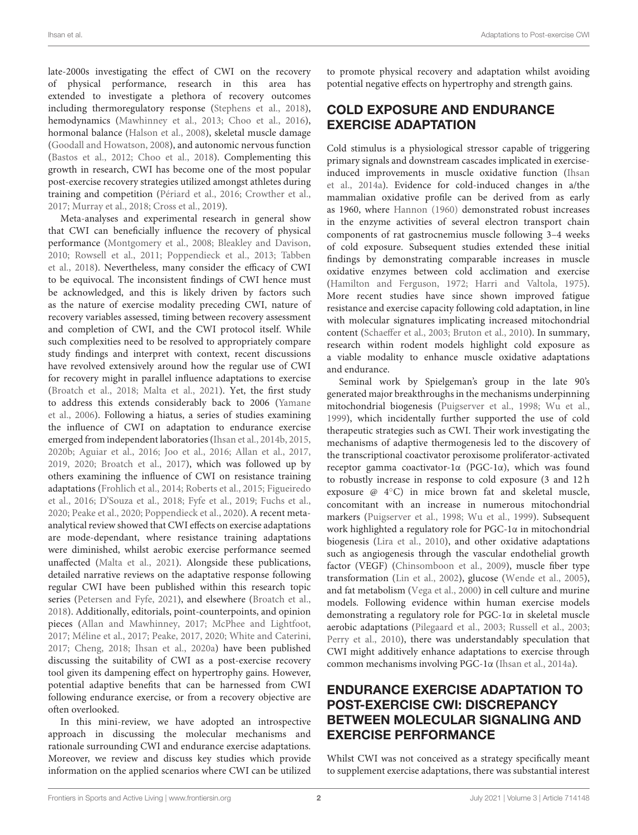late-2000s investigating the effect of CWI on the recovery of physical performance, research in this area has extended to investigate a plethora of recovery outcomes including thermoregulatory response [\(Stephens et al., 2018\)](#page-7-2), hemodynamics [\(Mawhinney et al., 2013;](#page-7-3) [Choo et al., 2016\)](#page-6-2), hormonal balance [\(Halson et al., 2008\)](#page-6-3), skeletal muscle damage [\(Goodall and Howatson, 2008\)](#page-6-4), and autonomic nervous function [\(Bastos et al., 2012;](#page-6-5) [Choo et al., 2018\)](#page-6-6). Complementing this growth in research, CWI has become one of the most popular post-exercise recovery strategies utilized amongst athletes during training and competition [\(Périard et al., 2016;](#page-7-4) [Crowther et al.,](#page-6-7) [2017;](#page-6-7) [Murray et al., 2018;](#page-7-5) [Cross et al., 2019\)](#page-6-8).

Meta-analyses and experimental research in general show that CWI can beneficially influence the recovery of physical performance [\(Montgomery et al., 2008;](#page-7-6) [Bleakley and Davison,](#page-6-9) [2010;](#page-6-9) [Rowsell et al., 2011;](#page-7-7) [Poppendieck et al., 2013;](#page-7-8) Tabben et al., [2018\)](#page-7-9). Nevertheless, many consider the efficacy of CWI to be equivocal. The inconsistent findings of CWI hence must be acknowledged, and this is likely driven by factors such as the nature of exercise modality preceding CWI, nature of recovery variables assessed, timing between recovery assessment and completion of CWI, and the CWI protocol itself. While such complexities need to be resolved to appropriately compare study findings and interpret with context, recent discussions have revolved extensively around how the regular use of CWI for recovery might in parallel influence adaptations to exercise [\(Broatch et al., 2018;](#page-6-10) [Malta et al., 2021\)](#page-7-10). Yet, the first study to address this extends considerably back to 2006 (Yamane et al., [2006\)](#page-8-5). Following a hiatus, a series of studies examining the influence of CWI on adaptation to endurance exercise emerged from independent laboratories [\(Ihsan et al., 2014b,](#page-6-11) [2015,](#page-6-12) [2020b;](#page-6-13) [Aguiar et al., 2016;](#page-5-0) [Joo et al., 2016;](#page-6-14) [Allan et al., 2017,](#page-5-1) [2019,](#page-6-15) [2020;](#page-5-2) [Broatch et al., 2017\)](#page-6-16), which was followed up by others examining the influence of CWI on resistance training adaptations [\(Frohlich et al., 2014;](#page-6-17) [Roberts et al., 2015;](#page-7-11) Figueiredo et al., [2016;](#page-6-18) [D'Souza et al., 2018;](#page-6-19) [Fyfe et al., 2019;](#page-6-20) [Fuchs et](#page-6-21) al., [2020;](#page-6-21) [Peake et al., 2020;](#page-7-12) [Poppendieck et al., 2020\)](#page-7-13). A recent metaanalytical review showed that CWI effects on exercise adaptations are mode-dependant, where resistance training adaptations were diminished, whilst aerobic exercise performance seemed unaffected [\(Malta et al., 2021\)](#page-7-10). Alongside these publications, detailed narrative reviews on the adaptative response following regular CWI have been published within this research topic series [\(Petersen and Fyfe, 2021\)](#page-7-14), and elsewhere [\(Broatch et al.,](#page-6-10) [2018\)](#page-6-10). Additionally, editorials, point-counterpoints, and opinion pieces [\(Allan and Mawhinney, 2017;](#page-5-3) [McPhee and Lightfoot,](#page-7-15) [2017;](#page-7-15) [Méline et al., 2017;](#page-7-16) [Peake, 2017,](#page-7-17) [2020;](#page-7-18) [White and Caterini,](#page-8-6) [2017;](#page-8-6) [Cheng, 2018;](#page-6-22) [Ihsan et al., 2020a\)](#page-6-23) have been published discussing the suitability of CWI as a post-exercise recovery tool given its dampening effect on hypertrophy gains. However, potential adaptive benefits that can be harnessed from CWI following endurance exercise, or from a recovery objective are often overlooked.

In this mini-review, we have adopted an introspective approach in discussing the molecular mechanisms and rationale surrounding CWI and endurance exercise adaptations. Moreover, we review and discuss key studies which provide information on the applied scenarios where CWI can be utilized to promote physical recovery and adaptation whilst avoiding potential negative effects on hypertrophy and strength gains.

## COLD EXPOSURE AND ENDURANCE EXERCISE ADAPTATION

Cold stimulus is a physiological stressor capable of triggering primary signals and downstream cascades implicated in exerciseinduced improvements in muscle oxidative function (Ihsan et al., [2014a\)](#page-6-24). Evidence for cold-induced changes in a/the mammalian oxidative profile can be derived from as early as 1960, where [Hannon \(1960\)](#page-6-25) demonstrated robust increases in the enzyme activities of several electron transport chain components of rat gastrocnemius muscle following 3–4 weeks of cold exposure. Subsequent studies extended these initial findings by demonstrating comparable increases in muscle oxidative enzymes between cold acclimation and exercise [\(Hamilton and Ferguson, 1972;](#page-6-26) [Harri and Valtola, 1975\)](#page-6-27). More recent studies have since shown improved fatigue resistance and exercise capacity following cold adaptation, in line with molecular signatures implicating increased mitochondrial content [\(Schaeffer et al., 2003;](#page-7-19) [Bruton et al., 2010\)](#page-6-28). In summary, research within rodent models highlight cold exposure as a viable modality to enhance muscle oxidative adaptations and endurance.

Seminal work by Spielgeman's group in the late 90's generated major breakthroughs in the mechanisms underpinning mitochondrial biogenesis [\(Puigserver et al., 1998;](#page-7-20) [Wu et al.,](#page-8-7) [1999\)](#page-8-7), which incidentally further supported the use of cold therapeutic strategies such as CWI. Their work investigating the mechanisms of adaptive thermogenesis led to the discovery of the transcriptional coactivator peroxisome proliferator-activated receptor gamma coactivator-1α (PGC-1α), which was found to robustly increase in response to cold exposure (3 and 12 h exposure @ 4◦C) in mice brown fat and skeletal muscle, concomitant with an increase in numerous mitochondrial markers [\(Puigserver et al., 1998;](#page-7-20) [Wu et al., 1999\)](#page-8-7). Subsequent work highlighted a regulatory role for PGC-1α in mitochondrial biogenesis [\(Lira et al., 2010\)](#page-6-29), and other oxidative adaptations such as angiogenesis through the vascular endothelial growth factor (VEGF) [\(Chinsomboon et al., 2009\)](#page-6-30), muscle fiber type transformation [\(Lin et al., 2002\)](#page-6-31), glucose [\(Wende et al., 2005\)](#page-8-8), and fat metabolism [\(Vega et al., 2000\)](#page-8-9) in cell culture and murine models. Following evidence within human exercise models demonstrating a regulatory role for PGC-1α in skeletal muscle aerobic adaptations [\(Pilegaard et al., 2003;](#page-7-21) [Russell et al., 2003;](#page-7-22) [Perry et al., 2010\)](#page-7-23), there was understandably speculation that CWI might additively enhance adaptations to exercise through common mechanisms involving PGC-1α [\(Ihsan et al., 2014a\)](#page-6-24).

## ENDURANCE EXERCISE ADAPTATION TO POST-EXERCISE CWI: DISCREPANCY BETWEEN MOLECULAR SIGNALING AND EXERCISE PERFORMANCE

Whilst CWI was not conceived as a strategy specifically meant to supplement exercise adaptations, there was substantial interest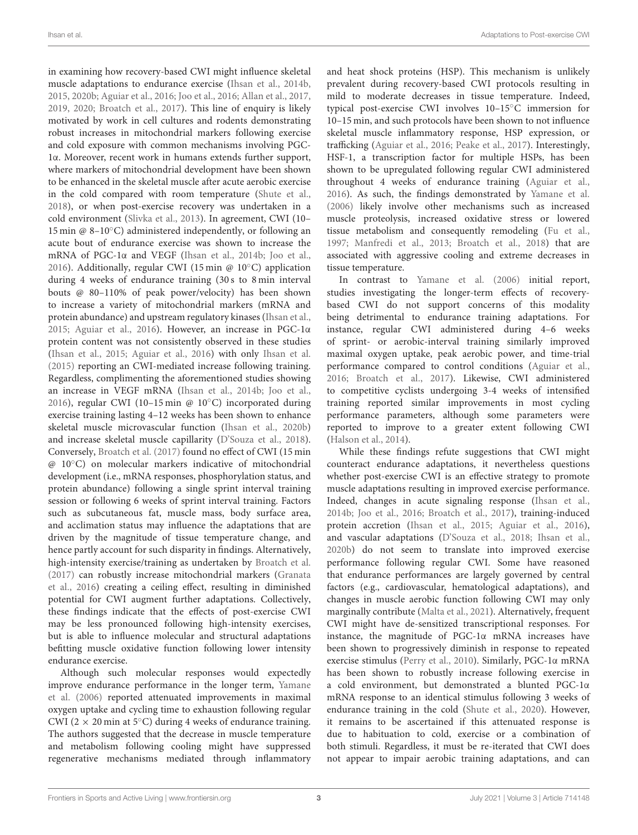in examining how recovery-based CWI might influence skeletal muscle adaptations to endurance exercise [\(Ihsan et al., 2014b,](#page-6-11) [2015,](#page-6-12) [2020b;](#page-6-13) [Aguiar et al., 2016;](#page-5-0) [Joo et al., 2016;](#page-6-14) [Allan et al.,](#page-5-1) [2017,](#page-5-1) [2019,](#page-6-15) [2020;](#page-5-2) [Broatch et al., 2017\)](#page-6-16). This line of enquiry is likely motivated by work in cell cultures and rodents demonstrating robust increases in mitochondrial markers following exercise and cold exposure with common mechanisms involving PGC-1α. Moreover, recent work in humans extends further support, where markers of mitochondrial development have been shown to be enhanced in the skeletal muscle after acute aerobic exercise in the cold compared with room temperature [\(Shute et al.,](#page-7-24) [2018\)](#page-7-24), or when post-exercise recovery was undertaken in a cold environment [\(Slivka et al., 2013\)](#page-7-25). In agreement, CWI (10– 15 min @ 8–10◦C) administered independently, or following an acute bout of endurance exercise was shown to increase the mRNA of PGC-1α and VEGF [\(Ihsan et al., 2014b;](#page-6-11) [Joo et al.,](#page-6-14) [2016\)](#page-6-14). Additionally, regular CWI (15 min @ 10◦C) application during 4 weeks of endurance training (30 s to 8 min interval bouts @ 80–110% of peak power/velocity) has been shown to increase a variety of mitochondrial markers (mRNA and protein abundance) and upstream regulatory kinases [\(Ihsan et al.,](#page-6-12) [2015;](#page-6-12) [Aguiar et al., 2016\)](#page-5-0). However, an increase in PGC-1α protein content was not consistently observed in these studies [\(Ihsan et al., 2015;](#page-6-12) [Aguiar et al., 2016\)](#page-5-0) with only [Ihsan et al.](#page-6-12) [\(2015\)](#page-6-12) reporting an CWI-mediated increase following training. Regardless, complimenting the aforementioned studies showing an increase in VEGF mRNA [\(Ihsan et al., 2014b;](#page-6-11) [Joo et al.,](#page-6-14) [2016\)](#page-6-14), regular CWI (10–15 min @ 10◦C) incorporated during exercise training lasting 4–12 weeks has been shown to enhance skeletal muscle microvascular function [\(Ihsan et al., 2020b\)](#page-6-13) and increase skeletal muscle capillarity [\(D'Souza et al., 2018\)](#page-6-19). Conversely, [Broatch et al. \(2017\)](#page-6-16) found no effect of CWI (15 min @ 10◦C) on molecular markers indicative of mitochondrial development (i.e., mRNA responses, phosphorylation status, and protein abundance) following a single sprint interval training session or following 6 weeks of sprint interval training. Factors such as subcutaneous fat, muscle mass, body surface area, and acclimation status may influence the adaptations that are driven by the magnitude of tissue temperature change, and hence partly account for such disparity in findings. Alternatively, high-intensity exercise/training as undertaken by [Broatch et al.](#page-6-16) [\(2017\)](#page-6-16) can robustly increase mitochondrial markers (Granata et al., [2016\)](#page-6-32) creating a ceiling effect, resulting in diminished potential for CWI augment further adaptations. Collectively, these findings indicate that the effects of post-exercise CWI may be less pronounced following high-intensity exercises, but is able to influence molecular and structural adaptations befitting muscle oxidative function following lower intensity endurance exercise.

Although such molecular responses would expectedly improve endurance performance in the longer term, Yamane et al. [\(2006\)](#page-8-5) reported attenuated improvements in maximal oxygen uptake and cycling time to exhaustion following regular CWI (2  $\times$  20 min at 5°C) during 4 weeks of endurance training. The authors suggested that the decrease in muscle temperature and metabolism following cooling might have suppressed regenerative mechanisms mediated through inflammatory and heat shock proteins (HSP). This mechanism is unlikely prevalent during recovery-based CWI protocols resulting in mild to moderate decreases in tissue temperature. Indeed, typical post-exercise CWI involves 10–15◦C immersion for 10–15 min, and such protocols have been shown to not influence skeletal muscle inflammatory response, HSP expression, or trafficking [\(Aguiar et al., 2016;](#page-5-0) [Peake et al., 2017\)](#page-7-26). Interestingly, HSF-1, a transcription factor for multiple HSPs, has been shown to be upregulated following regular CWI administered throughout 4 weeks of endurance training [\(Aguiar et al.,](#page-5-0) [2016\)](#page-5-0). As such, the findings demonstrated by [Yamane et al.](#page-8-5) [\(2006\)](#page-8-5) likely involve other mechanisms such as increased muscle proteolysis, increased oxidative stress or lowered tissue metabolism and consequently remodeling [\(Fu et al.,](#page-6-33) [1997;](#page-6-33) [Manfredi et al., 2013;](#page-7-27) [Broatch et al., 2018\)](#page-6-10) that are associated with aggressive cooling and extreme decreases in tissue temperature.

In contrast to [Yamane et al. \(2006\)](#page-8-5) initial report, studies investigating the longer-term effects of recoverybased CWI do not support concerns of this modality being detrimental to endurance training adaptations. For instance, regular CWI administered during 4–6 weeks of sprint- or aerobic-interval training similarly improved maximal oxygen uptake, peak aerobic power, and time-trial performance compared to control conditions [\(Aguiar et al.,](#page-5-0) [2016;](#page-5-0) [Broatch et al., 2017\)](#page-6-16). Likewise, CWI administered to competitive cyclists undergoing 3-4 weeks of intensified training reported similar improvements in most cycling performance parameters, although some parameters were reported to improve to a greater extent following CWI [\(Halson et al., 2014\)](#page-6-34).

While these findings refute suggestions that CWI might counteract endurance adaptations, it nevertheless questions whether post-exercise CWI is an effective strategy to promote muscle adaptations resulting in improved exercise performance. Indeed, changes in acute signaling response [\(Ihsan et al.,](#page-6-11) [2014b;](#page-6-11) [Joo et al., 2016;](#page-6-14) [Broatch et al., 2017\)](#page-6-16), training-induced protein accretion [\(Ihsan et al., 2015;](#page-6-12) [Aguiar et al., 2016\)](#page-5-0), and vascular adaptations [\(D'Souza et al., 2018;](#page-6-19) [Ihsan et al.,](#page-6-13) [2020b\)](#page-6-13) do not seem to translate into improved exercise performance following regular CWI. Some have reasoned that endurance performances are largely governed by central factors (e.g., cardiovascular, hematological adaptations), and changes in muscle aerobic function following CWI may only marginally contribute [\(Malta et al., 2021\)](#page-7-10). Alternatively, frequent CWI might have de-sensitized transcriptional responses. For instance, the magnitude of PGC-1α mRNA increases have been shown to progressively diminish in response to repeated exercise stimulus [\(Perry et al., 2010\)](#page-7-23). Similarly, PGC-1α mRNA has been shown to robustly increase following exercise in a cold environment, but demonstrated a blunted PGC-1α mRNA response to an identical stimulus following 3 weeks of endurance training in the cold [\(Shute et al., 2020\)](#page-7-28). However, it remains to be ascertained if this attenuated response is due to habituation to cold, exercise or a combination of both stimuli. Regardless, it must be re-iterated that CWI does not appear to impair aerobic training adaptations, and can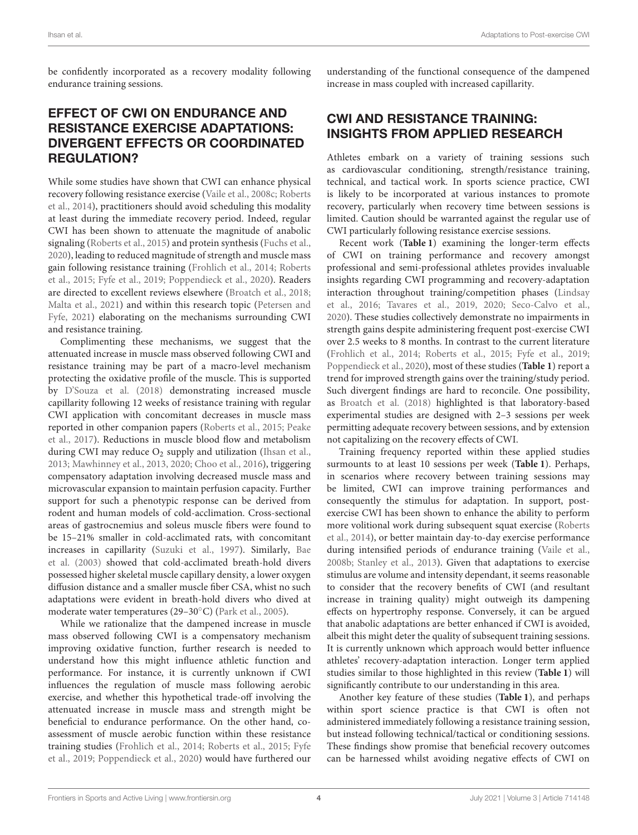be confidently incorporated as a recovery modality following endurance training sessions.

## EFFECT OF CWI ON ENDURANCE AND RESISTANCE EXERCISE ADAPTATIONS: DIVERGENT EFFECTS OR COORDINATED REGULATION?

While some studies have shown that CWI can enhance physical recovery following resistance exercise [\(Vaile et al., 2008c;](#page-8-3) Roberts et al., [2014\)](#page-7-29), practitioners should avoid scheduling this modality at least during the immediate recovery period. Indeed, regular CWI has been shown to attenuate the magnitude of anabolic signaling [\(Roberts et al., 2015\)](#page-7-11) and protein synthesis [\(Fuchs et al.,](#page-6-21) [2020\)](#page-6-21), leading to reduced magnitude of strength and muscle mass gain following resistance training [\(Frohlich et al., 2014;](#page-6-17) Roberts et al., [2015;](#page-7-11) [Fyfe et al., 2019;](#page-6-20) [Poppendieck et al., 2020\)](#page-7-13). Readers are directed to excellent reviews elsewhere [\(Broatch et al., 2018;](#page-6-10) [Malta et al., 2021\)](#page-7-10) and within this research topic (Petersen and Fyfe, [2021\)](#page-7-14) elaborating on the mechanisms surrounding CWI and resistance training.

Complimenting these mechanisms, we suggest that the attenuated increase in muscle mass observed following CWI and resistance training may be part of a macro-level mechanism protecting the oxidative profile of the muscle. This is supported by [D'Souza et al. \(2018\)](#page-6-19) demonstrating increased muscle capillarity following 12 weeks of resistance training with regular CWI application with concomitant decreases in muscle mass reported in other companion papers [\(Roberts et al., 2015;](#page-7-11) Peake et al., [2017\)](#page-7-26). Reductions in muscle blood flow and metabolism during CWI may reduce  $O_2$  supply and utilization [\(Ihsan et al.,](#page-6-35) [2013;](#page-6-35) [Mawhinney et al., 2013,](#page-7-3) [2020;](#page-7-30) [Choo et al., 2016\)](#page-6-2), triggering compensatory adaptation involving decreased muscle mass and microvascular expansion to maintain perfusion capacity. Further support for such a phenotypic response can be derived from rodent and human models of cold-acclimation. Cross-sectional areas of gastrocnemius and soleus muscle fibers were found to be 15–21% smaller in cold-acclimated rats, with concomitant increases in capillarity [\(Suzuki et al., 1997\)](#page-7-31). Similarly, Bae et al. [\(2003\)](#page-6-36) showed that cold-acclimated breath-hold divers possessed higher skeletal muscle capillary density, a lower oxygen diffusion distance and a smaller muscle fiber CSA, whist no such adaptations were evident in breath-hold divers who dived at moderate water temperatures (29–30◦C) [\(Park et al., 2005\)](#page-7-32).

While we rationalize that the dampened increase in muscle mass observed following CWI is a compensatory mechanism improving oxidative function, further research is needed to understand how this might influence athletic function and performance. For instance, it is currently unknown if CWI influences the regulation of muscle mass following aerobic exercise, and whether this hypothetical trade-off involving the attenuated increase in muscle mass and strength might be beneficial to endurance performance. On the other hand, coassessment of muscle aerobic function within these resistance training studies [\(Frohlich et al., 2014;](#page-6-17) [Roberts et al., 2015;](#page-7-11) Fyfe et al., [2019;](#page-6-20) [Poppendieck et al., 2020\)](#page-7-13) would have furthered our understanding of the functional consequence of the dampened increase in mass coupled with increased capillarity.

## CWI AND RESISTANCE TRAINING: INSIGHTS FROM APPLIED RESEARCH

Athletes embark on a variety of training sessions such as cardiovascular conditioning, strength/resistance training, technical, and tactical work. In sports science practice, CWI is likely to be incorporated at various instances to promote recovery, particularly when recovery time between sessions is limited. Caution should be warranted against the regular use of CWI particularly following resistance exercise sessions.

Recent work (**[Table 1](#page-5-4)**) examining the longer-term effects of CWI on training performance and recovery amongst professional and semi-professional athletes provides invaluable insights regarding CWI programming and recovery-adaptation interaction throughout training/competition phases (Lindsay et al., [2016;](#page-6-37) [Tavares et al., 2019,](#page-7-33) [2020;](#page-8-10) [Seco-Calvo et al.,](#page-7-34) [2020\)](#page-7-34). These studies collectively demonstrate no impairments in strength gains despite administering frequent post-exercise CWI over 2.5 weeks to 8 months. In contrast to the current literature [\(Frohlich et al., 2014;](#page-6-17) [Roberts et al., 2015;](#page-7-11) [Fyfe et al., 2019;](#page-6-20) [Poppendieck et al., 2020\)](#page-7-13), most of these studies (**[Table 1](#page-5-4)**) report a trend for improved strength gains over the training/study period. Such divergent findings are hard to reconcile. One possibility, as [Broatch et al. \(2018\)](#page-6-10) highlighted is that laboratory-based experimental studies are designed with 2–3 sessions per week permitting adequate recovery between sessions, and by extension not capitalizing on the recovery effects of CWI.

Training frequency reported within these applied studies surmounts to at least 10 sessions per week (**[Table 1](#page-5-4)**). Perhaps, in scenarios where recovery between training sessions may be limited, CWI can improve training performances and consequently the stimulus for adaptation. In support, postexercise CWI has been shown to enhance the ability to perform more volitional work during subsequent squat exercise (Roberts et al., [2014\)](#page-7-29), or better maintain day-to-day exercise performance during intensified periods of endurance training [\(Vaile et al.,](#page-8-2) [2008b;](#page-8-2) [Stanley et al., 2013\)](#page-7-35). Given that adaptations to exercise stimulus are volume and intensity dependant, it seems reasonable to consider that the recovery benefits of CWI (and resultant increase in training quality) might outweigh its dampening effects on hypertrophy response. Conversely, it can be argued that anabolic adaptations are better enhanced if CWI is avoided, albeit this might deter the quality of subsequent training sessions. It is currently unknown which approach would better influence athletes' recovery-adaptation interaction. Longer term applied studies similar to those highlighted in this review (**[Table 1](#page-5-4)**) will significantly contribute to our understanding in this area.

Another key feature of these studies (**[Table 1](#page-5-4)**), and perhaps within sport science practice is that CWI is often not administered immediately following a resistance training session, but instead following technical/tactical or conditioning sessions. These findings show promise that beneficial recovery outcomes can be harnessed whilst avoiding negative effects of CWI on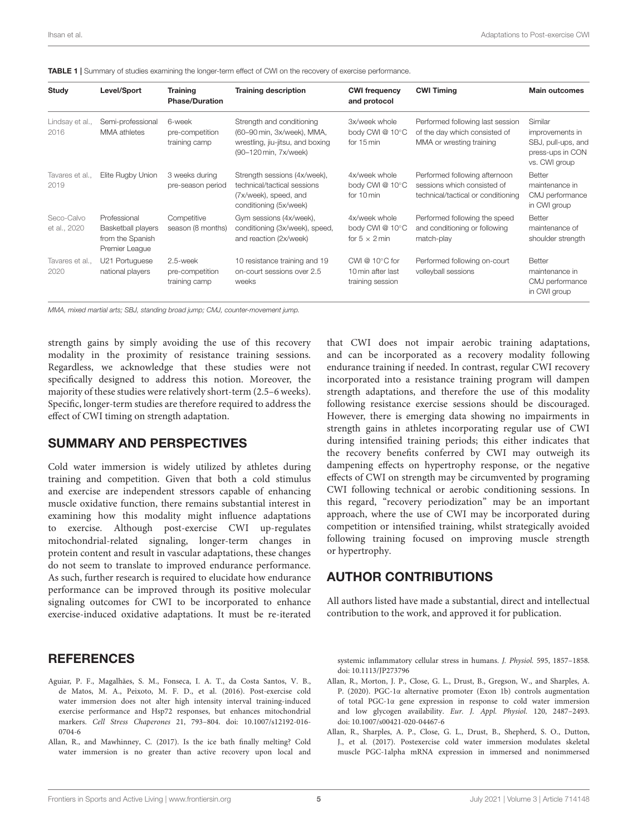<span id="page-5-4"></span>

|  |  |  |  |  | <b>TABLE 1</b> Summary of studies examining the longer-term effect of CWI on the recovery of exercise performance. |  |
|--|--|--|--|--|--------------------------------------------------------------------------------------------------------------------|--|
|--|--|--|--|--|--------------------------------------------------------------------------------------------------------------------|--|

| Study                      | Level/Sport                                                                     | <b>Training</b><br><b>Phase/Duration</b>     | <b>Training description</b>                                                                                          | <b>CWI frequency</b><br>and protocol                              | <b>CWI Timing</b>                                                                                  | <b>Main outcomes</b>                                                                  |
|----------------------------|---------------------------------------------------------------------------------|----------------------------------------------|----------------------------------------------------------------------------------------------------------------------|-------------------------------------------------------------------|----------------------------------------------------------------------------------------------------|---------------------------------------------------------------------------------------|
| Lindsay et al.,<br>2016    | Semi-professional<br>MMA athletes                                               | 6-week<br>pre-competition<br>training camp   | Strength and conditioning<br>(60-90 min, 3x/week), MMA,<br>wrestling, jiu-jitsu, and boxing<br>(90-120 min, 7x/week) | 3x/week whole<br>body CWI @ 10°C<br>for 15 min                    | Performed following last session<br>of the day which consisted of<br>MMA or wresting training      | Similar<br>improvements in<br>SBJ, pull-ups, and<br>press-ups in CON<br>vs. CWI group |
| Tavares et al.,<br>2019    | Elite Rugby Union                                                               | 3 weeks during<br>pre-season period          | Strength sessions (4x/week),<br>technical/tactical sessions<br>(7x/week), speed, and<br>conditioning (5x/week)       | 4x/week whole<br>body CWI @ 10°C<br>for 10 min                    | Performed following afternoon<br>sessions which consisted of<br>technical/tactical or conditioning | Better<br>maintenance in<br>CMJ performance<br>in CWI group                           |
| Seco-Calvo<br>et al., 2020 | Professional<br><b>Basketball players</b><br>from the Spanish<br>Premier League | Competitive<br>season (8 months)             | Gym sessions (4x/week),<br>conditioning (3x/week), speed,<br>and reaction (2x/week)                                  | 4x/week whole<br>body CWI @ 10°C<br>for $5 \times 2$ min          | Performed following the speed<br>and conditioning or following<br>match-play                       | Better<br>maintenance of<br>shoulder strength                                         |
| Tavares et al<br>2020      | U21 Portuguese<br>national players                                              | 2.5-week<br>pre-competition<br>training camp | 10 resistance training and 19<br>on-court sessions over 2.5<br>weeks                                                 | CWI @ $10^{\circ}$ C for<br>10 min after last<br>training session | Performed following on-court<br>volleyball sessions                                                | Better<br>maintenance in<br>CMJ performance<br>in CWI group                           |

*MMA, mixed martial arts; SBJ, standing broad jump; CMJ, counter-movement jump.*

strength gains by simply avoiding the use of this recovery modality in the proximity of resistance training sessions. Regardless, we acknowledge that these studies were not specifically designed to address this notion. Moreover, the majority of these studies were relatively short-term (2.5–6 weeks). Specific, longer-term studies are therefore required to address the effect of CWI timing on strength adaptation.

#### SUMMARY AND PERSPECTIVES

Cold water immersion is widely utilized by athletes during training and competition. Given that both a cold stimulus and exercise are independent stressors capable of enhancing muscle oxidative function, there remains substantial interest in examining how this modality might influence adaptations to exercise. Although post-exercise CWI up-regulates mitochondrial-related signaling, longer-term changes in protein content and result in vascular adaptations, these changes do not seem to translate to improved endurance performance. As such, further research is required to elucidate how endurance performance can be improved through its positive molecular signaling outcomes for CWI to be incorporated to enhance exercise-induced oxidative adaptations. It must be re-iterated

## **REFERENCES**

- <span id="page-5-0"></span>Aguiar, P. F., Magalhães, S. M., Fonseca, I. A. T., da Costa Santos, V. B., de Matos, M. A., Peixoto, M. F. D., et al. (2016). Post-exercise cold water immersion does not alter high intensity interval training-induced exercise performance and Hsp72 responses, but enhances mitochondrial markers. Cell Stress Chaperones [21, 793–804. doi: 10.1007/s12192-016-](https://doi.org/10.1007/s12192-016-0704-6) 0704-6
- <span id="page-5-3"></span>Allan, R., and Mawhinney, C. (2017). Is the ice bath finally melting? Cold water immersion is no greater than active recovery upon local and

that CWI does not impair aerobic training adaptations, and can be incorporated as a recovery modality following endurance training if needed. In contrast, regular CWI recovery incorporated into a resistance training program will dampen strength adaptations, and therefore the use of this modality following resistance exercise sessions should be discouraged. However, there is emerging data showing no impairments in strength gains in athletes incorporating regular use of CWI during intensified training periods; this either indicates that the recovery benefits conferred by CWI may outweigh its dampening effects on hypertrophy response, or the negative effects of CWI on strength may be circumvented by programing CWI following technical or aerobic conditioning sessions. In this regard, "recovery periodization" may be an important approach, where the use of CWI may be incorporated during competition or intensified training, whilst strategically avoided following training focused on improving muscle strength or hypertrophy.

## AUTHOR CONTRIBUTIONS

All authors listed have made a substantial, direct and intellectual contribution to the work, and approved it for publication.

systemic inflammatory cellular stress in humans. J. Physiol. 595, 1857–1858. doi: [10.1113/JP273796](https://doi.org/10.1113/JP273796)

- <span id="page-5-2"></span>Allan, R., Morton, J. P., Close, G. L., Drust, B., Gregson, W., and Sharples, A. P. (2020). PGC-1α alternative promoter (Exon 1b) controls augmentation of total PGC-1α gene expression in response to cold water immersion and low glycogen availability. Eur. J. Appl. Physiol. 120, 2487–2493. doi: [10.1007/s00421-020-04467-6](https://doi.org/10.1007/s00421-020-04467-6)
- <span id="page-5-1"></span>Allan, R., Sharples, A. P., Close, G. L., Drust, B., Shepherd, S. O., Dutton, J., et al. (2017). Postexercise cold water immersion modulates skeletal muscle PGC-1alpha mRNA expression in immersed and nonimmersed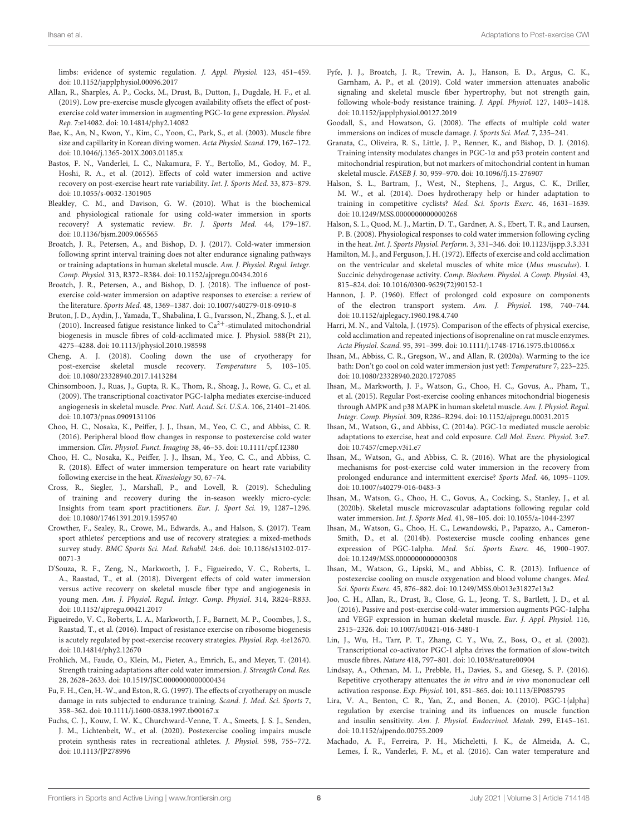limbs: evidence of systemic regulation. J. Appl. Physiol. 123, 451–459. doi: [10.1152/japplphysiol.00096.2017](https://doi.org/10.1152/japplphysiol.00096.2017)

- <span id="page-6-15"></span>Allan, R., Sharples, A. P., Cocks, M., Drust, B., Dutton, J., Dugdale, H. F., et al. (2019). Low pre-exercise muscle glycogen availability offsets the effect of postexercise cold water immersion in augmenting PGC-1α gene expression. Physiol. Rep. 7:e14082. doi: [10.14814/phy2.14082](https://doi.org/10.14814/phy2.14082)
- <span id="page-6-36"></span>Bae, K., An, N., Kwon, Y., Kim, C., Yoon, C., Park, S., et al. (2003). Muscle fibre size and capillarity in Korean diving women. Acta Physiol. Scand. 179, 167–172. doi: [10.1046/j.1365-201X.2003.01185.x](https://doi.org/10.1046/j.1365-201X.2003.01185.x)
- <span id="page-6-5"></span>Bastos, F. N., Vanderlei, L. C., Nakamura, F. Y., Bertollo, M., Godoy, M. F., Hoshi, R. A., et al. (2012). Effects of cold water immersion and active recovery on post-exercise heart rate variability. Int. J. Sports Med. 33, 873–879. doi: [10.1055/s-0032-1301905](https://doi.org/10.1055/s-0032-1301905)
- <span id="page-6-9"></span>Bleakley, C. M., and Davison, G. W. (2010). What is the biochemical and physiological rationale for using cold-water immersion in sports recovery? A systematic review. Br. J. Sports Med. 44, 179–187. doi: [10.1136/bjsm.2009.065565](https://doi.org/10.1136/bjsm.2009.065565)
- <span id="page-6-16"></span>Broatch, J. R., Petersen, A., and Bishop, D. J. (2017). Cold-water immersion following sprint interval training does not alter endurance signaling pathways or training adaptations in human skeletal muscle. Am. J. Physiol. Regul. Integr. Comp. Physiol. 313, R372–R384. doi: [10.1152/ajpregu.00434.2016](https://doi.org/10.1152/ajpregu.00434.2016)
- <span id="page-6-10"></span>Broatch, J. R., Petersen, A., and Bishop, D. J. (2018). The influence of postexercise cold-water immersion on adaptive responses to exercise: a review of the literature. Sports Med. 48, 1369–1387. doi: [10.1007/s40279-018-0910-8](https://doi.org/10.1007/s40279-018-0910-8)
- <span id="page-6-28"></span>Bruton, J. D., Aydin, J., Yamada, T., Shabalina, I. G., Ivarsson, N., Zhang, S. J., et al. (2010). Increased fatigue resistance linked to  $Ca^{2+}$ -stimulated mitochondrial biogenesis in muscle fibres of cold-acclimated mice. J. Physiol. 588(Pt 21), 4275–4288. doi: [10.1113/jphysiol.2010.198598](https://doi.org/10.1113/jphysiol.2010.198598)
- <span id="page-6-22"></span>Cheng, A. J. (2018). Cooling down the use of cryotherapy for post-exercise skeletal muscle recovery. Temperature 5, 103–105. doi: [10.1080/23328940.2017.1413284](https://doi.org/10.1080/23328940.2017.1413284)
- <span id="page-6-30"></span>Chinsomboon, J., Ruas, J., Gupta, R. K., Thom, R., Shoag, J., Rowe, G. C., et al. (2009). The transcriptional coactivator PGC-1alpha mediates exercise-induced angiogenesis in skeletal muscle. Proc. Natl. Acad. Sci. U.S.A. 106, 21401–21406. doi: [10.1073/pnas.0909131106](https://doi.org/10.1073/pnas.0909131106)
- <span id="page-6-2"></span>Choo, H. C., Nosaka, K., Peiffer, J. J., Ihsan, M., Yeo, C. C., and Abbiss, C. R. (2016). Peripheral blood flow changes in response to postexercise cold water immersion. Clin. Physiol. Funct. Imaging 38, 46–55. doi: [10.1111/cpf.12380](https://doi.org/10.1111/cpf.12380)
- <span id="page-6-6"></span>Choo, H. C., Nosaka, K., Peiffer, J. J., Ihsan, M., Yeo, C. C., and Abbiss, C. R. (2018). Effect of water immersion temperature on heart rate variability following exercise in the heat. Kinesiology 50, 67–74.
- <span id="page-6-8"></span>Cross, R., Siegler, J., Marshall, P., and Lovell, R. (2019). Scheduling of training and recovery during the in-season weekly micro-cycle: Insights from team sport practitioners. Eur. J. Sport Sci. 19, 1287–1296. doi: [10.1080/17461391.2019.1595740](https://doi.org/10.1080/17461391.2019.1595740)
- <span id="page-6-7"></span>Crowther, F., Sealey, R., Crowe, M., Edwards, A., and Halson, S. (2017). Team sport athletes' perceptions and use of recovery strategies: a mixed-methods survey study. [BMC Sports Sci. Med. Rehabil.](https://doi.org/10.1186/s13102-017-0071-3) 24:6. doi: 10.1186/s13102-017- 0071-3
- <span id="page-6-19"></span>D'Souza, R. F., Zeng, N., Markworth, J. F., Figueiredo, V. C., Roberts, L. A., Raastad, T., et al. (2018). Divergent effects of cold water immersion versus active recovery on skeletal muscle fiber type and angiogenesis in young men. Am. J. Physiol. Regul. Integr. Comp. Physiol. 314, R824–R833. doi: [10.1152/ajpregu.00421.2017](https://doi.org/10.1152/ajpregu.00421.2017)
- <span id="page-6-18"></span>Figueiredo, V. C., Roberts, L. A., Markworth, J. F., Barnett, M. P., Coombes, J. S., Raastad, T., et al. (2016). Impact of resistance exercise on ribosome biogenesis is acutely regulated by post-exercise recovery strategies. Physiol. Rep. 4:e12670. doi: [10.14814/phy2.12670](https://doi.org/10.14814/phy2.12670)
- <span id="page-6-17"></span>Frohlich, M., Faude, O., Klein, M., Pieter, A., Emrich, E., and Meyer, T. (2014). Strength training adaptations after cold water immersion. J. Strength Cond. Res. 28, 2628–2633. doi: [10.1519/JSC.0000000000000434](https://doi.org/10.1519/JSC.0000000000000434)
- <span id="page-6-33"></span>Fu, F. H., Cen, H.-W., and Eston, R. G. (1997). The effects of cryotherapy on muscle damage in rats subjected to endurance training. Scand. J. Med. Sci. Sports 7, 358–362. doi: [10.1111/j.1600-0838.1997.tb00167.x](https://doi.org/10.1111/j.1600-0838.1997.tb00167.x)
- <span id="page-6-21"></span>Fuchs, C. J., Kouw, I. W. K., Churchward-Venne, T. A., Smeets, J. S. J., Senden, J. M., Lichtenbelt, W., et al. (2020). Postexercise cooling impairs muscle protein synthesis rates in recreational athletes. J. Physiol. 598, 755–772. doi: [10.1113/JP278996](https://doi.org/10.1113/JP278996)
- <span id="page-6-20"></span>Fyfe, J. J., Broatch, J. R., Trewin, A. J., Hanson, E. D., Argus, C. K., Garnham, A. P., et al. (2019). Cold water immersion attenuates anabolic signaling and skeletal muscle fiber hypertrophy, but not strength gain, following whole-body resistance training. J. Appl. Physiol. 127, 1403–1418. doi: [10.1152/japplphysiol.00127.2019](https://doi.org/10.1152/japplphysiol.00127.2019)
- <span id="page-6-4"></span>Goodall, S., and Howatson, G. (2008). The effects of multiple cold water immersions on indices of muscle damage. J. Sports Sci. Med. 7, 235–241.
- <span id="page-6-32"></span>Granata, C., Oliveira, R. S., Little, J. P., Renner, K., and Bishop, D. J. (2016). Training intensity modulates changes in PGC-1α and p53 protein content and mitochondrial respiration, but not markers of mitochondrial content in human skeletal muscle. FASEB J. 30, 959–970. doi: [10.1096/fj.15-276907](https://doi.org/10.1096/fj.15-276907)
- <span id="page-6-34"></span>Halson, S. L., Bartram, J., West, N., Stephens, J., Argus, C. K., Driller, M. W., et al. (2014). Does hydrotherapy help or hinder adaptation to training in competitive cyclists? Med. Sci. Sports Exerc. 46, 1631–1639. doi: [10.1249/MSS.0000000000000268](https://doi.org/10.1249/MSS.0000000000000268)
- <span id="page-6-3"></span>Halson, S. L., Quod, M. J., Martin, D. T., Gardner, A. S., Ebert, T. R., and Laursen, P. B. (2008). Physiological responses to cold water immersion following cycling in the heat. Int. J. Sports Physiol. Perform. 3, 331–346. doi: [10.1123/ijspp.3.3.331](https://doi.org/10.1123/ijspp.3.3.331)
- <span id="page-6-26"></span>Hamilton, M. J., and Ferguson, J. H. (1972). Effects of exercise and cold acclimation on the ventricular and skeletal muscles of white mice (Mus musculus). I. Succinic dehydrogenase activity. Comp. Biochem. Physiol. A Comp. Physiol. 43, 815–824. doi: [10.1016/0300-9629\(72\)90152-1](https://doi.org/10.1016/0300-9629(72)90152-1)
- <span id="page-6-25"></span>Hannon, J. P. (1960). Effect of prolonged cold exposure on components of the electron transport system. Am. J. Physiol. 198, 740–744. doi: [10.1152/ajplegacy.1960.198.4.740](https://doi.org/10.1152/ajplegacy.1960.198.4.740)
- <span id="page-6-27"></span>Harri, M. N., and Valtola, J. (1975). Comparison of the effects of physical exercise, cold acclimation and repeated injections of isoprenaline on rat muscle enzymes. Acta Physiol. Scand. 95, 391–399. doi: [10.1111/j.1748-1716.1975.tb10066.x](https://doi.org/10.1111/j.1748-1716.1975.tb10066.x)
- <span id="page-6-23"></span>Ihsan, M., Abbiss, C. R., Gregson, W., and Allan, R. (2020a). Warming to the ice bath: Don't go cool on cold water immersion just yet!: Temperature 7, 223–225. doi: [10.1080/23328940.2020.1727085](https://doi.org/10.1080/23328940.2020.1727085)
- <span id="page-6-12"></span>Ihsan, M., Markworth, J. F., Watson, G., Choo, H. C., Govus, A., Pham, T., et al. (2015). Regular Post-exercise cooling enhances mitochondrial biogenesis through AMPK and p38 MAPK in human skeletal muscle. Am. J. Physiol. Regul. Integr. Comp. Physiol. 309, R286–R294. doi: [10.1152/ajpregu.00031.2015](https://doi.org/10.1152/ajpregu.00031.2015)
- <span id="page-6-24"></span>Ihsan, M., Watson, G., and Abbiss, C. (2014a). PGC-1α mediated muscle aerobic adaptations to exercise, heat and cold exposure. Cell Mol. Exerc. Physiol. 3:e7. doi: [10.7457/cmep.v3i1.e7](https://doi.org/10.7457/cmep.v3i1.e7)
- <span id="page-6-0"></span>Ihsan, M., Watson, G., and Abbiss, C. R. (2016). What are the physiological mechanisms for post-exercise cold water immersion in the recovery from prolonged endurance and intermittent exercise? Sports Med. 46, 1095–1109. doi: [10.1007/s40279-016-0483-3](https://doi.org/10.1007/s40279-016-0483-3)
- <span id="page-6-13"></span>Ihsan, M., Watson, G., Choo, H. C., Govus, A., Cocking, S., Stanley, J., et al. (2020b). Skeletal muscle microvascular adaptations following regular cold water immersion. Int. J. Sports Med. 41, 98–105. doi: [10.1055/a-1044-2397](https://doi.org/10.1055/a-1044-2397)
- <span id="page-6-11"></span>Ihsan, M., Watson, G., Choo, H. C., Lewandowski, P., Papazzo, A., Cameron-Smith, D., et al. (2014b). Postexercise muscle cooling enhances gene expression of PGC-1alpha. Med. Sci. Sports Exerc. 46, 1900–1907. doi: [10.1249/MSS.0000000000000308](https://doi.org/10.1249/MSS.0000000000000308)
- <span id="page-6-35"></span>Ihsan, M., Watson, G., Lipski, M., and Abbiss, C. R. (2013). Influence of postexercise cooling on muscle oxygenation and blood volume changes. Med. Sci. Sports Exerc. 45, 876–882. doi: [10.1249/MSS.0b013e31827e13a2](https://doi.org/10.1249/MSS.0b013e31827e13a2)
- <span id="page-6-14"></span>Joo, C. H., Allan, R., Drust, B., Close, G. L., Jeong, T. S., Bartlett, J. D., et al. (2016). Passive and post-exercise cold-water immersion augments PGC-1alpha and VEGF expression in human skeletal muscle. Eur. J. Appl. Physiol. 116, 2315–2326. doi: [10.1007/s00421-016-3480-1](https://doi.org/10.1007/s00421-016-3480-1)
- <span id="page-6-31"></span>Lin, J., Wu, H., Tarr, P. T., Zhang, C. Y., Wu, Z., Boss, O., et al. (2002). Transcriptional co-activator PGC-1 alpha drives the formation of slow-twitch muscle fibres. Nature 418, 797–801. doi: [10.1038/nature00904](https://doi.org/10.1038/nature00904)
- <span id="page-6-37"></span>Lindsay, A., Othman, M. I., Prebble, H., Davies, S., and Gieseg, S. P. (2016). Repetitive cryotherapy attenuates the in vitro and in vivo mononuclear cell activation response. Exp. Physiol. 101, 851–865. doi: [10.1113/EP085795](https://doi.org/10.1113/EP085795)
- <span id="page-6-29"></span>Lira, V. A., Benton, C. R., Yan, Z., and Bonen, A. (2010). PGC-1{alpha} regulation by exercise training and its influences on muscle function and insulin sensitivity. Am. J. Physiol. Endocrinol. Metab. 299, E145–161. doi: [10.1152/ajpendo.00755.2009](https://doi.org/10.1152/ajpendo.00755.2009)
- <span id="page-6-1"></span>Machado, A. F., Ferreira, P. H., Micheletti, J. K., de Almeida, A. C., Lemes, Í. R., Vanderlei, F. M., et al. (2016). Can water temperature and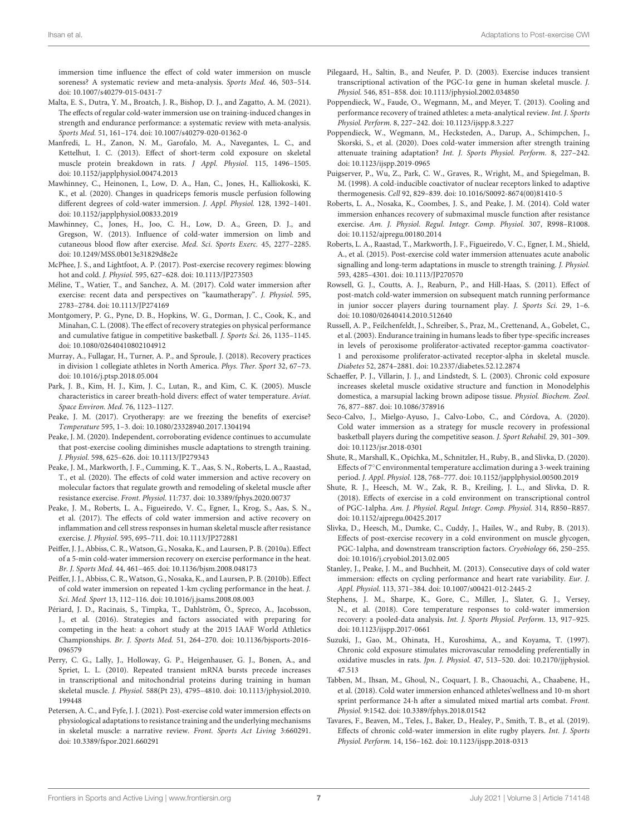immersion time influence the effect of cold water immersion on muscle soreness? A systematic review and meta-analysis. Sports Med. 46, 503–514. doi: [10.1007/s40279-015-0431-7](https://doi.org/10.1007/s40279-015-0431-7)

- <span id="page-7-10"></span>Malta, E. S., Dutra, Y. M., Broatch, J. R., Bishop, D. J., and Zagatto, A. M. (2021). The effects of regular cold-water immersion use on training-induced changes in strength and endurance performance: a systematic review with meta-analysis. Sports Med. 51, 161–174. doi: [10.1007/s40279-020-01362-0](https://doi.org/10.1007/s40279-020-01362-0)
- <span id="page-7-27"></span>Manfredi, L. H., Zanon, N. M., Garofalo, M. A., Navegantes, L. C., and Kettelhut, I. C. (2013). Effect of short-term cold exposure on skeletal muscle protein breakdown in rats. J Appl. Physiol. 115, 1496–1505. doi: [10.1152/japplphysiol.00474.2013](https://doi.org/10.1152/japplphysiol.00474.2013)
- <span id="page-7-30"></span>Mawhinney, C., Heinonen, I., Low, D. A., Han, C., Jones, H., Kalliokoski, K. K., et al. (2020). Changes in quadriceps femoris muscle perfusion following different degrees of cold-water immersion. J. Appl. Physiol. 128, 1392–1401. doi: [10.1152/japplphysiol.00833.2019](https://doi.org/10.1152/japplphysiol.00833.2019)
- <span id="page-7-3"></span>Mawhinney, C., Jones, H., Joo, C. H., Low, D. A., Green, D. J., and Gregson, W. (2013). Influence of cold-water immersion on limb and cutaneous blood flow after exercise. Med. Sci. Sports Exerc. 45, 2277–2285. doi: [10.1249/MSS.0b013e31829d8e2e](https://doi.org/10.1249/MSS.0b013e31829d8e2e)
- <span id="page-7-15"></span>McPhee, J. S., and Lightfoot, A. P. (2017). Post-exercise recovery regimes: blowing hot and cold. J. Physiol. 595, 627–628. doi: [10.1113/JP273503](https://doi.org/10.1113/JP273503)
- <span id="page-7-16"></span>Méline, T., Watier, T., and Sanchez, A. M. (2017). Cold water immersion after exercise: recent data and perspectives on "kaumatherapy". J. Physiol. 595, 2783–2784. doi: [10.1113/JP274169](https://doi.org/10.1113/JP274169)
- <span id="page-7-6"></span>Montgomery, P. G., Pyne, D. B., Hopkins, W. G., Dorman, J. C., Cook, K., and Minahan, C. L. (2008). The effect of recovery strategies on physical performance and cumulative fatigue in competitive basketball. J. Sports Sci. 26, 1135–1145. doi: [10.1080/02640410802104912](https://doi.org/10.1080/02640410802104912)
- <span id="page-7-5"></span>Murray, A., Fullagar, H., Turner, A. P., and Sproule, J. (2018). Recovery practices in division 1 collegiate athletes in North America. Phys. Ther. Sport 32, 67–73. doi: [10.1016/j.ptsp.2018.05.004](https://doi.org/10.1016/j.ptsp.2018.05.004)
- <span id="page-7-32"></span>Park, J. B., Kim, H. J., Kim, J. C., Lutan, R., and Kim, C. K. (2005). Muscle characteristics in career breath-hold divers: effect of water temperature. Aviat. Space Environ. Med. 76, 1123–1127.
- <span id="page-7-17"></span>Peake, J. M. (2017). Cryotherapy: are we freezing the benefits of exercise? Temperature 595, 1–3. doi: [10.1080/23328940.2017.1304194](https://doi.org/10.1080/23328940.2017.1304194)
- <span id="page-7-18"></span>Peake, J. M. (2020). Independent, corroborating evidence continues to accumulate that post-exercise cooling diminishes muscle adaptations to strength training. J. Physiol. 598, 625–626. doi: [10.1113/JP279343](https://doi.org/10.1113/JP279343)
- <span id="page-7-12"></span>Peake, J. M., Markworth, J. F., Cumming, K. T., Aas, S. N., Roberts, L. A., Raastad, T., et al. (2020). The effects of cold water immersion and active recovery on molecular factors that regulate growth and remodeling of skeletal muscle after resistance exercise. Front. Physiol. 11:737. doi: [10.3389/fphys.2020.00737](https://doi.org/10.3389/fphys.2020.00737)
- <span id="page-7-26"></span>Peake, J. M., Roberts, L. A., Figueiredo, V. C., Egner, I., Krog, S., Aas, S. N., et al. (2017). The effects of cold water immersion and active recovery on inflammation and cell stress responses in human skeletal muscle after resistance exercise. J. Physiol. 595, 695–711. doi: [10.1113/JP272881](https://doi.org/10.1113/JP272881)
- <span id="page-7-0"></span>Peiffer, J. J., Abbiss, C. R., Watson, G., Nosaka, K., and Laursen, P. B. (2010a). Effect of a 5-min cold-water immersion recovery on exercise performance in the heat. Br. J. Sports Med. 44, 461–465. doi: [10.1136/bjsm.2008.048173](https://doi.org/10.1136/bjsm.2008.048173)
- <span id="page-7-1"></span>Peiffer, J. J., Abbiss, C. R., Watson, G., Nosaka, K., and Laursen, P. B. (2010b). Effect of cold water immersion on repeated 1-km cycling performance in the heat. J. Sci. Med. Sport 13, 112–116. doi: [10.1016/j.jsams.2008.08.003](https://doi.org/10.1016/j.jsams.2008.08.003)
- <span id="page-7-4"></span>Périard, J. D., Racinais, S., Timpka, T., Dahlström, Ö., Spreco, A., Jacobsson, J., et al. (2016). Strategies and factors associated with preparing for competing in the heat: a cohort study at the 2015 IAAF World Athletics Championships. Br. J. Sports Med. [51, 264–270. doi: 10.1136/bjsports-2016-](https://doi.org/10.1136/bjsports-2016-096579) 096579
- <span id="page-7-23"></span>Perry, C. G., Lally, J., Holloway, G. P., Heigenhauser, G. J., Bonen, A., and Spriet, L. L. (2010). Repeated transient mRNA bursts precede increases in transcriptional and mitochondrial proteins during training in human skeletal muscle. J. Physiol. [588\(Pt 23\), 4795–4810. doi: 10.1113/jphysiol.2010.](https://doi.org/10.1113/jphysiol.2010.199448) 199448
- <span id="page-7-14"></span>Petersen, A. C., and Fyfe, J. J. (2021). Post-exercise cold water immersion effects on physiological adaptations to resistance training and the underlying mechanisms in skeletal muscle: a narrative review. Front. Sports Act Living 3:660291. doi: [10.3389/fspor.2021.660291](https://doi.org/10.3389/fspor.2021.660291)
- <span id="page-7-21"></span>Pilegaard, H., Saltin, B., and Neufer, P. D. (2003). Exercise induces transient transcriptional activation of the PGC-1α gene in human skeletal muscle. J. Physiol. 546, 851–858. doi: [10.1113/jphysiol.2002.034850](https://doi.org/10.1113/jphysiol.2002.034850)
- <span id="page-7-8"></span>Poppendieck, W., Faude, O., Wegmann, M., and Meyer, T. (2013). Cooling and performance recovery of trained athletes: a meta-analytical review. Int. J. Sports Physiol. Perform. 8, 227–242. doi: [10.1123/ijspp.8.3.227](https://doi.org/10.1123/ijspp.8.3.227)
- <span id="page-7-13"></span>Poppendieck, W., Wegmann, M., Hecksteden, A., Darup, A., Schimpchen, J., Skorski, S., et al. (2020). Does cold-water immersion after strength training attenuate training adaptation? Int. J. Sports Physiol. Perform. 8, 227–242. doi: [10.1123/ijspp.2019-0965](https://doi.org/10.1123/ijspp.2019-0965)
- <span id="page-7-20"></span>Puigserver, P., Wu, Z., Park, C. W., Graves, R., Wright, M., and Spiegelman, B. M. (1998). A cold-inducible coactivator of nuclear receptors linked to adaptive thermogenesis. Cell 92, 829–839. doi: [10.1016/S0092-8674\(00\)81410-5](https://doi.org/10.1016/S0092-8674(00)81410-5)
- <span id="page-7-29"></span>Roberts, L. A., Nosaka, K., Coombes, J. S., and Peake, J. M. (2014). Cold water immersion enhances recovery of submaximal muscle function after resistance exercise. Am. J. Physiol. Regul. Integr. Comp. Physiol. 307, R998–R1008. doi: [10.1152/ajpregu.00180.2014](https://doi.org/10.1152/ajpregu.00180.2014)
- <span id="page-7-11"></span>Roberts, L. A., Raastad, T., Markworth, J. F., Figueiredo, V. C., Egner, I. M., Shield, A., et al. (2015). Post-exercise cold water immersion attenuates acute anabolic signalling and long-term adaptations in muscle to strength training. J. Physiol. 593, 4285–4301. doi: [10.1113/JP270570](https://doi.org/10.1113/JP270570)
- <span id="page-7-7"></span>Rowsell, G. J., Coutts, A. J., Reaburn, P., and Hill-Haas, S. (2011). Effect of post-match cold-water immersion on subsequent match running performance in junior soccer players during tournament play. J. Sports Sci. 29, 1–6. doi: [10.1080/02640414.2010.512640](https://doi.org/10.1080/02640414.2010.512640)
- <span id="page-7-22"></span>Russell, A. P., Feilchenfeldt, J., Schreiber, S., Praz, M., Crettenand, A., Gobelet, C., et al. (2003). Endurance training in humans leads to fiber type-specific increases in levels of peroxisome proliferator-activated receptor-gamma coactivator-1 and peroxisome proliferator-activated receptor-alpha in skeletal muscle. Diabetes 52, 2874–2881. doi: [10.2337/diabetes.52.12.2874](https://doi.org/10.2337/diabetes.52.12.2874)
- <span id="page-7-19"></span>Schaeffer, P. J., Villarin, J. J., and Lindstedt, S. L. (2003). Chronic cold exposure increases skeletal muscle oxidative structure and function in Monodelphis domestica, a marsupial lacking brown adipose tissue. Physiol. Biochem. Zool. 76, 877–887. doi: [10.1086/378916](https://doi.org/10.1086/378916)
- <span id="page-7-34"></span>Seco-Calvo, J., Mielgo-Ayuso, J., Calvo-Lobo, C., and Córdova, A. (2020). Cold water immersion as a strategy for muscle recovery in professional basketball players during the competitive season. J. Sport Rehabil. 29, 301–309. doi: [10.1123/jsr.2018-0301](https://doi.org/10.1123/jsr.2018-0301)
- <span id="page-7-28"></span>Shute, R., Marshall, K., Opichka, M., Schnitzler, H., Ruby, B., and Slivka, D. (2020). Effects of 7◦C environmental temperature acclimation during a 3-week training period. J. Appl. Physiol. 128, 768–777. doi: [10.1152/japplphysiol.00500.2019](https://doi.org/10.1152/japplphysiol.00500.2019)
- <span id="page-7-24"></span>Shute, R. J., Heesch, M. W., Zak, R. B., Kreiling, J. L., and Slivka, D. R. (2018). Effects of exercise in a cold environment on transcriptional control of PGC-1alpha. Am. J. Physiol. Regul. Integr. Comp. Physiol. 314, R850–R857. doi: [10.1152/ajpregu.00425.2017](https://doi.org/10.1152/ajpregu.00425.2017)
- <span id="page-7-25"></span>Slivka, D., Heesch, M., Dumke, C., Cuddy, J., Hailes, W., and Ruby, B. (2013). Effects of post-exercise recovery in a cold environment on muscle glycogen, PGC-1alpha, and downstream transcription factors. Cryobiology 66, 250–255. doi: [10.1016/j.cryobiol.2013.02.005](https://doi.org/10.1016/j.cryobiol.2013.02.005)
- <span id="page-7-35"></span>Stanley, J., Peake, J. M., and Buchheit, M. (2013). Consecutive days of cold water immersion: effects on cycling performance and heart rate variability. Eur. J. Appl. Physiol. 113, 371–384. doi: [10.1007/s00421-012-2445-2](https://doi.org/10.1007/s00421-012-2445-2)
- <span id="page-7-2"></span>Stephens, J. M., Sharpe, K., Gore, C., Miller, J., Slater, G. J., Versey, N., et al. (2018). Core temperature responses to cold-water immersion recovery: a pooled-data analysis. Int. J. Sports Physiol. Perform. 13, 917–925. doi: [10.1123/ijspp.2017-0661](https://doi.org/10.1123/ijspp.2017-0661)
- <span id="page-7-31"></span>Suzuki, J., Gao, M., Ohinata, H., Kuroshima, A., and Koyama, T. (1997). Chronic cold exposure stimulates microvascular remodeling preferentially in oxidative muscles in rats. Jpn. J. Physiol. [47, 513–520. doi: 10.2170/jjphysiol.](https://doi.org/10.2170/jjphysiol.47.513) 47.513
- <span id="page-7-9"></span>Tabben, M., Ihsan, M., Ghoul, N., Coquart, J. B., Chaouachi, A., Chaabene, H., et al. (2018). Cold water immersion enhanced athletes'wellness and 10-m short sprint performance 24-h after a simulated mixed martial arts combat. Front. Physiol. 9:1542. doi: [10.3389/fphys.2018.01542](https://doi.org/10.3389/fphys.2018.01542)
- <span id="page-7-33"></span>Tavares, F., Beaven, M., Teles, J., Baker, D., Healey, P., Smith, T. B., et al. (2019). Effects of chronic cold-water immersion in elite rugby players. Int. J. Sports Physiol. Perform. 14, 156–162. doi: [10.1123/ijspp.2018-0313](https://doi.org/10.1123/ijspp.2018-0313)